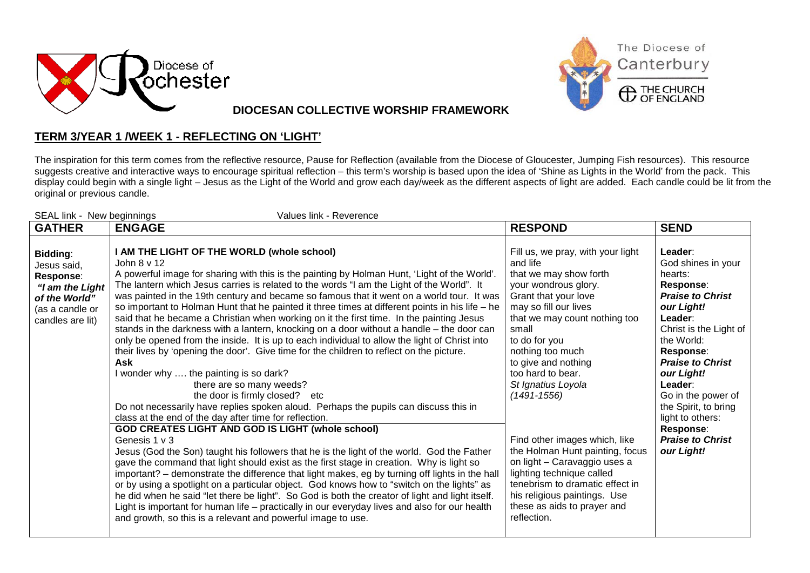



**DIOCESAN COLLECTIVE WORSHIP FRAMEWORK**

## **TERM 3/YEAR 1 /WEEK 1 - REFLECTING ON 'LIGHT'**

The inspiration for this term comes from the reflective resource, Pause for Reflection (available from the Diocese of Gloucester, Jumping Fish resources). This resource suggests creative and interactive ways to encourage spiritual reflection – this term's worship is based upon the idea of 'Shine as Lights in the World' from the pack. This display could begin with a single light – Jesus as the Light of the World and grow each day/week as the different aspects of light are added. Each candle could be lit from the original or previous candle.

| SEAL link - New beginnings<br>Values link - Reverence                                                           |                                                                                                                                                                                                                                                                                                                                                                                                                                                                                                                                                                                                                                                                                                                                                                                                                                                                                                                                                                                                                                                                                                                                                                                                                                                                                                                                                                                                                                                                                                                                                                                                                                                                                                                                                                                                                                                          |                                                                                                                                                                                                                                                                                                                                                                                                                                                                                                                                                                        |                                                                                                                                                                                                                                                                                                                                            |  |
|-----------------------------------------------------------------------------------------------------------------|----------------------------------------------------------------------------------------------------------------------------------------------------------------------------------------------------------------------------------------------------------------------------------------------------------------------------------------------------------------------------------------------------------------------------------------------------------------------------------------------------------------------------------------------------------------------------------------------------------------------------------------------------------------------------------------------------------------------------------------------------------------------------------------------------------------------------------------------------------------------------------------------------------------------------------------------------------------------------------------------------------------------------------------------------------------------------------------------------------------------------------------------------------------------------------------------------------------------------------------------------------------------------------------------------------------------------------------------------------------------------------------------------------------------------------------------------------------------------------------------------------------------------------------------------------------------------------------------------------------------------------------------------------------------------------------------------------------------------------------------------------------------------------------------------------------------------------------------------------|------------------------------------------------------------------------------------------------------------------------------------------------------------------------------------------------------------------------------------------------------------------------------------------------------------------------------------------------------------------------------------------------------------------------------------------------------------------------------------------------------------------------------------------------------------------------|--------------------------------------------------------------------------------------------------------------------------------------------------------------------------------------------------------------------------------------------------------------------------------------------------------------------------------------------|--|
| <b>GATHER</b>                                                                                                   | <b>ENGAGE</b>                                                                                                                                                                                                                                                                                                                                                                                                                                                                                                                                                                                                                                                                                                                                                                                                                                                                                                                                                                                                                                                                                                                                                                                                                                                                                                                                                                                                                                                                                                                                                                                                                                                                                                                                                                                                                                            | <b>RESPOND</b>                                                                                                                                                                                                                                                                                                                                                                                                                                                                                                                                                         | <b>SEND</b>                                                                                                                                                                                                                                                                                                                                |  |
| Bidding:<br>Jesus said,<br>Response:<br>"I am the Light<br>of the World"<br>(as a candle or<br>candles are lit) | I AM THE LIGHT OF THE WORLD (whole school)<br>John 8 v 12<br>A powerful image for sharing with this is the painting by Holman Hunt, 'Light of the World'.<br>The lantern which Jesus carries is related to the words "I am the Light of the World". It<br>was painted in the 19th century and became so famous that it went on a world tour. It was<br>so important to Holman Hunt that he painted it three times at different points in his life - he<br>said that he became a Christian when working on it the first time. In the painting Jesus<br>stands in the darkness with a lantern, knocking on a door without a handle - the door can<br>only be opened from the inside. It is up to each individual to allow the light of Christ into<br>their lives by 'opening the door'. Give time for the children to reflect on the picture.<br>Ask<br>I wonder why  the painting is so dark?<br>there are so many weeds?<br>the door is firmly closed? etc<br>Do not necessarily have replies spoken aloud. Perhaps the pupils can discuss this in<br>class at the end of the day after time for reflection.<br><b>GOD CREATES LIGHT AND GOD IS LIGHT (whole school)</b><br>Genesis 1 v 3<br>Jesus (God the Son) taught his followers that he is the light of the world. God the Father<br>gave the command that light should exist as the first stage in creation. Why is light so<br>important? - demonstrate the difference that light makes, eg by turning off lights in the hall<br>or by using a spotlight on a particular object. God knows how to "switch on the lights" as<br>he did when he said "let there be light". So God is both the creator of light and light itself.<br>Light is important for human life - practically in our everyday lives and also for our health<br>and growth, so this is a relevant and powerful image to use. | Fill us, we pray, with your light<br>and life<br>that we may show forth<br>your wondrous glory.<br>Grant that your love<br>may so fill our lives<br>that we may count nothing too<br>small<br>to do for you<br>nothing too much<br>to give and nothing<br>too hard to bear.<br>St Ignatius Loyola<br>$(1491 - 1556)$<br>Find other images which, like<br>the Holman Hunt painting, focus<br>on light - Caravaggio uses a<br>lighting technique called<br>tenebrism to dramatic effect in<br>his religious paintings. Use<br>these as aids to prayer and<br>reflection. | Leader:<br>God shines in your<br>hearts:<br>Response:<br><b>Praise to Christ</b><br>our Light!<br>Leader:<br>Christ is the Light of<br>the World:<br>Response:<br><b>Praise to Christ</b><br>our Light!<br>Leader:<br>Go in the power of<br>the Spirit, to bring<br>light to others:<br>Response:<br><b>Praise to Christ</b><br>our Light! |  |